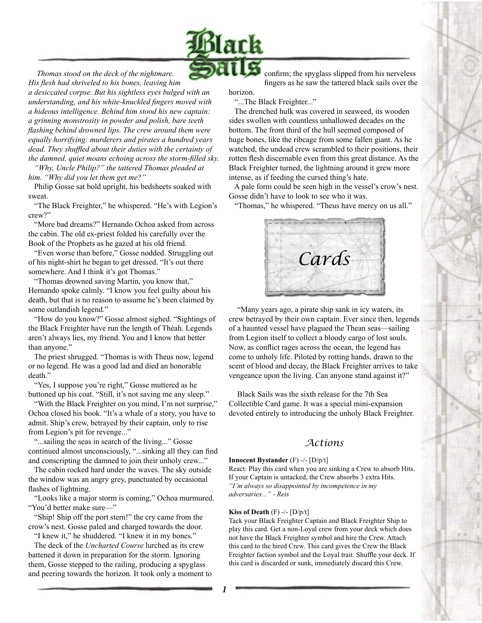

*Thomas stood on the deck of the nightmare.* 

*His flesh had shriveled to his bones, leaving him a desiccated corpse. But his sightless eyes bulged with an understanding, and his white-knuckled fingers moved with a hideous intelligence. Behind him stood his new captain: a grinning monstrosity in powder and polish, bare teeth flashing behind drowned lips. The crew around them were equally horrifying: murderers and pirates a hundred years dead. They shuffled about their duties with the certainty of the damned, quiet moans echoing across the storm-filled sky.*

 *"Why, Uncle Philip?" the tattered Thomas pleaded at him. "Why did you let them get me?"*

 Philip Gosse sat bold upright, his bedsheets soaked with sweat.

 "The Black Freighter," he whispered. "He's with Legion's crew?"

 "More bad dreams?" Hernando Ochoa asked from across the cabin. The old ex-priest folded his carefully over the Book of the Prophets as he gazed at his old friend.

 "Even worse than before," Gosse nodded. Struggling out of his night-shirt he began to get dressed. "It's out there somewhere. And I think it's got Thomas."

 "Thomas drowned saving Martin, you know that," Hernando spoke calmly. "I know you feel guilty about his death, but that is no reason to assume he's been claimed by some outlandish legend."

 "How do you know?" Gosse almost sighed. "Sightings of the Black Freighter have run the length of Théah. Legends aren't always lies, my friend. You and I know that better than anyone."

 The priest shrugged. "Thomas is with Theus now, legend or no legend. He was a good lad and died an honorable death."

"Yes, I suppose you're right," Gosse muttered as he buttoned up his coat. "Still, it's not saving me any sleep."

 "With the Black Freighter on you mind, I'm not surprise," Ochoa closed his book. "It's a whale of a story, you have to admit. Ship's crew, betrayed by their captain, only to rise from Legion's pit for revenge..."

 "...sailing the seas in search of the living..." Gosse continued almost unconsciously, "...sinking all they can find and conscripting the damned to join their unholy crew..."

 The cabin rocked hard under the waves. The sky outside the window was an angry grey, punctuated by occasional flashes of lightning.

 "Looks like a major storm is coming," Ochoa murmured. "You'd better make sure—"

 "Ship! Ship off the port stern!" the cry came from the crow's nest. Gosse paled and charged towards the door.

 "I knew it," he shuddered. "I knew it in my bones." The deck of the *Uncharted Course* lurched as its crew

battened it down in preparation for the storm. Ignoring them, Gosse stepped to the railing, producing a spyglass and peering towards the horizon. It took only a moment to confirm; the spyglass slipped from his nerveless fingers as he saw the tattered black sails over the

horizon. "...The Black Freighter..."

 The drenched hulk was covered in seaweed, its wooden sides swollen with countless unhallowed decades on the bottom. The front third of the hull seemed composed of huge bones, like the ribcage from some fallen giant. As he watched, the undead crew scrambled to their positions, their rotten flesh discernable even from this great distance. As the Black Freighter turned, the lightning around it grew more intense, as if feeding the cursed thing's hate.

 A pale form could be seen high in the vessel's crow's nest. Gosse didn't have to look to see who it was.

"Thomas," he whispered. "Theus have mercy on us all."



"Many years ago, a pirate ship sank in icy waters, its crew betrayed by their own captain. Ever since then, legends of a haunted vessel have plagued the Thean seas—sailing from Legion itself to collect a bloody cargo of lost souls. Now, as conflict rages across the ocean, the legend has come to unholy life. Piloted by rotting hands, drawn to the scent of blood and decay, the Black Freighter arrives to take vengeance upon the living. Can anyone stand against it?"

Black Sails was the sixth release for the 7th Sea Collectible Card game. It was a special mini-expansion devoted entirely to introducing the unholy Black Freighter.

## *Actions*

#### **Innocent Bystander** (F) -/- [D/p/t]

React: Play this card when you are sinking a Crew to absorb Hits. If your Captain is untacked, the Crew absorbs 3 extra Hits. *"I'm always so disappointed by incompetence in my adversaries..." - Reis*

### **Kiss of Death** (F) -/- [D/p/t]

Tack your Black Freighter Captain and Black Freighter Ship to play this card. Get a non-Loyal crew from your deck which does not have the Black Freighter symbol and hire the Crew. Attach this card to the hired Crew. This card gives the Crew the Black Freighter faction symbol and the Loyal trait. Shuffle your deck. If this card is discarded or sunk, immediately discard this Crew.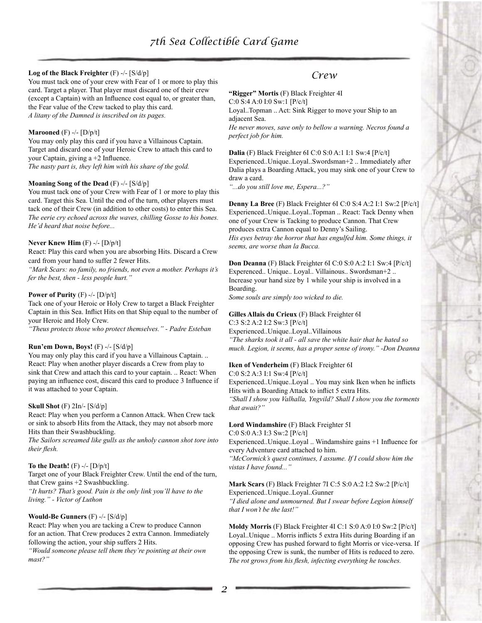### **Log of the Black Freighter** (F) -/- [S/d/p]

You must tack one of your crew with Fear of 1 or more to play this card. Target a player. That player must discard one of their crew (except a Captain) with an Influence cost equal to, or greater than, the Fear value of the Crew tacked to play this card. *A litany of the Damned is inscribed on its pages.*

### **Marooned** (F) -/- [D/p/t]

You may only play this card if you have a Villainous Captain. Target and discard one of your Heroic Crew to attach this card to your Captain, giving a +2 Influence. *The nasty part is, they left him with his share of the gold.*

#### **Moaning Song of the Dead** (F) -/- [S/d/p]

You must tack one of your Crew with Fear of 1 or more to play this card. Target this Sea. Until the end of the turn, other players must tack one of their Crew (in addition to other costs) to enter this Sea. *The eerie cry echoed across the waves, chilling Gosse to his bones. He'd heard that noise before...*

### **Never Knew Him** (F) -/- [D/p/t]

React: Play this card when you are absorbing Hits. Discard a Crew card from your hand to suffer 2 fewer Hits.

*"Mark Scars: no family, no friends, not even a mother. Perhaps it's fer the best, then - less people hurt."*

### **Power of Purity** (F) -/- [D/p/t]

Tack one of your Heroic or Holy Crew to target a Black Freighter Captain in this Sea. Inflict Hits on that Ship equal to the number of your Heroic and Holy Crew.

*"Theus protects those who protect themselves." - Padre Esteban*

#### **Run'em Down, Boys!** (F) -/- [S/d/p]

You may only play this card if you have a Villainous Captain. .. React: Play when another player discards a Crew from play to sink that Crew and attach this card to your captain. .. React: When paying an influence cost, discard this card to produce 3 Influence if it was attached to your Captain.

### **Skull Shot** (F) 2In/- [S/d/p]

React: Play when you perform a Cannon Attack. When Crew tack or sink to absorb Hits from the Attack, they may not absorb more Hits than their Swashbuckling.

*The Sailors screamed like gulls as the unholy cannon shot tore into their flesh.*

### **To the Death!** (F) -/- [D/p/t]

Target one of your Black Freighter Crew. Until the end of the turn, that Crew gains +2 Swashbuckling.

*"It hurts? That's good. Pain is the only link you'll have to the living." - Victor of Luthon*

### **Would-Be Gunners** (F) -/- [S/d/p]

React: Play when you are tacking a Crew to produce Cannon for an action. That Crew produces 2 extra Cannon. Immediately following the action, your ship suffers 2 Hits.

*"Would someone please tell them they're pointing at their own mast?"*

## *Crew*

**"Rigger" Mortis** (F) Black Freighter 4I

C:0 S:4 A:0 I:0 Sw:1 [P/c/t] Loyal..Topman .. Act: Sink Rigger to move your Ship to an adjacent Sea.

*He never moves, save only to bellow a warning. Necros found a perfect job for him.*

**Dalia** (F) Black Freighter 6I C:0 S:0 A:1 I:1 Sw:4 [P/c/t] Experienced..Unique..Loyal..Swordsman+2 .. Immediately after Dalia plays a Boarding Attack, you may sink one of your Crew to draw a card.

*"...do you still love me, Espera...?"*

**Denny La Bree** (F) Black Freighter 6I C:0 S:4 A:2 I:1 Sw:2 [P/c/t] Experienced..Unique..Loyal..Topman .. React: Tack Denny when one of your Crew is Tacking to produce Cannon. That Crew produces extra Cannon equal to Denny's Sailing. *His eyes betray the horror that has engulfed him. Some things, it seems, are worse than la Bucca.*

**Don Deanna** (F) Black Freighter 6I C:0 S:0 A:2 I:1 Sw:4 [P/c/t] Experenced.. Unique.. Loyal.. Villainous.. Swordsman+2 .. Increase your hand size by 1 while your ship is involved in a Boarding.

*Some souls are simply too wicked to die.*

### **Gilles Allais du Crieux** (F) Black Freighter 6I

C:3 S:2 A:2 I:2 Sw:3 [P/c/t] Experienced..Unique..Loyal..Villainous *"The sharks took it all - all save the white hair that he hated so much. Legion, it seems, has a proper sense of irony." -Don Deanna*

### **Iken of Venderheim** (F) Black Freighter 6I

C:0 S:2 A:3 I:1 Sw:4 [P/c/t]

Experienced..Unique..Loyal .. You may sink Iken when he inflicts Hits with a Boarding Attack to inflict 5 extra Hits.

*"Shall I show you Valhalla, Yngvild? Shall I show you the torments that await?"*

### **Lord Windamshire** (F) Black Freighter 5I

C:0 S:0 A:3 I:3 Sw:2 [P/c/t]

Experienced..Unique..Loyal .. Windamshire gains +1 Influence for every Adventure card attached to him.

*"McCormick's quest continues, I assume. If I could show him the vistas I have found..."*

## **Mark Scars** (F) Black Freighter 7I C:5 S:0 A:2 I:2 Sw:2 [P/c/t]

Experienced..Unique..Loyal..Gunner *"I died alone and unmourned. But I swear before Legion himself that I won't be the last!"*

**Moldy Morris** (F) Black Freighter 4I C:1 S:0 A:0 I:0 Sw:2 [P/c/t] Loyal..Unique .. Morris inflicts 5 extra Hits during Boarding if an opposing Crew has pushed forward to fight Morris or vice-versa. If the opposing Crew is sunk, the number of Hits is reduced to zero. *The rot grows from his flesh, infecting everything he touches.*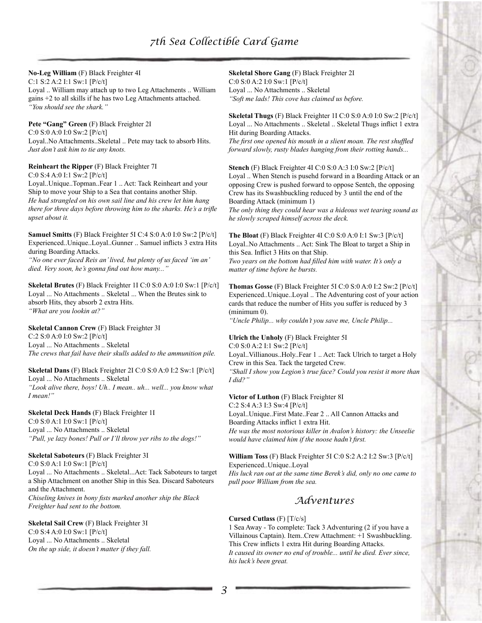### **No-Leg William** (F) Black Freighter 4I

C:1 S:2 A:2 I:1 Sw:1 [P/c/t]

Loyal .. William may attach up to two Leg Attachments .. William gains +2 to all skills if he has two Leg Attachments attached. *"You should see the shark."*

### **Pete "Gang" Green** (F) Black Freighter 2I

C:0 S:0 A:0 I:0 Sw:2 [P/c/t] Loyal..No Attachments..Skeletal .. Pete may tack to absorb Hits. *Just don't ask him to tie any knots.*

### **Reinheart the Ripper** (F) Black Freighter 7I

C:0 S:4 A:0 I:1 Sw:2 [P/c/t]

Loyal..Unique..Topman..Fear 1 .. Act: Tack Reinheart and your Ship to move your Ship to a Sea that contains another Ship. *He had strangled on his own sail line and his crew let him hang there for three days before throwing him to the sharks. He's a trifle upset about it.*

**Samuel Smitts** (F) Black Freighter 5I C:4 S:0 A:0 I:0 Sw:2 [P/c/t] Experienced..Unique..Loyal..Gunner .. Samuel inflicts 3 extra Hits during Boarding Attacks.

*"No one ever faced Reis an' lived, but plenty of us faced 'im an' died. Very soon, he's gonna find out how many..."*

**Skeletal Brutes** (F) Black Freighter 1I C:0 S:0 A:0 I:0 Sw:1 [P/c/t] Loyal ... No Attachments .. Skeletal ... When the Brutes sink to absorb Hits, they absorb 2 extra Hits. *"What are you lookin at?"*

### **Skeletal Cannon Crew** (F) Black Freighter 3I

C:2 S:0 A:0 I:0 Sw:2 [P/c/t] Loyal ... No Attachments .. Skeletal *The crews that fail have their skulls added to the ammunition pile.*

**Skeletal Dans** (F) Black Freighter 2I C:0 S:0 A:0 I:2 Sw:1 [P/c/t] Loyal ... No Attachments .. Skeletal *"Look alive there, boys! Uh.. I mean.. uh... well... you know what I mean!"*

**Skeletal Deck Hands** (F) Black Freighter 1I C:0 S:0 A:1 I:0 Sw:1 [P/c/t] Loyal ... No Attachments .. Skeletal *"Pull, ye lazy bones! Pull or I'll throw yer ribs to the dogs!"*

## **Skeletal Saboteurs** (F) Black Freighter 3I

C:0 S:0 A:1 I:0 Sw:1 [P/c/t]

Loyal ... No Attachments .. Skeletal...Act: Tack Saboteurs to target a Ship Attachment on another Ship in this Sea. Discard Saboteurs and the Attachment.

*Chiseling knives in bony fists marked another ship the Black Freighter had sent to the bottom.*

### **Skeletal Sail Crew** (F) Black Freighter 3I

C:0 S:4 A:0 I:0 Sw:1 [P/c/t] Loyal ... No Attachments .. Skeletal *On the up side, it doesn't matter if they fall.* **Skeletal Shore Gang** (F) Black Freighter 2I C:0 S:0 A:2 I:0 Sw:1 [P/c/t] Loyal ... No Attachments .. Skeletal *"Soft me lads! This cove has claimed us before.*

**Skeletal Thugs** (F) Black Freighter 1I C:0 S:0 A:0 I:0 Sw:2 [P/c/t] Loyal ... No Attachments .. Skeletal .. Skeletal Thugs inflict 1 extra Hit during Boarding Attacks.

*The first one opened his mouth in a slient moan. The rest shuffled forward slowly, rusty blades hanging from their rotting hands...*

**Stench** (F) Black Freighter 4I C:0 S:0 A:3 I:0 Sw:2 [P/c/t] Loyal .. When Stench is pusehd forward in a Boarding Attack or an opposing Crew is pushed forward to oppose Sentch, the opposing Crew has its Swashbuckling reduced by 3 until the end of the Boarding Attack (minimum 1)

*The only thing they could hear was a hideous wet tearing sound as he slowly scraped himself across the deck.*

**The Bloat** (F) Black Freighter 4I C:0 S:0 A:0 I:1 Sw:3 [P/c/t] Loyal..No Attachments .. Act: Sink The Bloat to target a Ship in this Sea. Inflict 3 Hits on that Ship. *Two years on the bottom had filled him with water. It's only a* 

*matter of time before he bursts.*

**Thomas Gosse** (F) Black Freighter 5I C:0 S:0 A:0 I:2 Sw:2 [P/c/t] Experienced..Unique..Loyal .. The Adventuring cost of your action cards that reduce the number of Hits you suffer is reduced by 3 (minimum 0).

*"Uncle Philip... why couldn't you save me, Uncle Philip...*

**Ulrich the Unholy** (F) Black Freighter 5I C:0 S:0 A:2 I:1 Sw:2 [P/c/t]

Loyal..Villianous..Holy..Fear 1 .. Act: Tack Ulrich to target a Holy Crew in this Sea. Tack the targeted Crew.

*"Shall I show you Legion's true face? Could you resist it more than I did?"*

**Victor of Luthon** (F) Black Freighter 8I C:2 S:4 A:3 I:3 Sw:4 [P/c/t] Loyal..Unique..First Mate..Fear 2 .. All Cannon Attacks and Boarding Attacks inflict 1 extra Hit.

*He was the most notorious killer in Avalon's history: the Unseelie would have claimed him if the noose hadn't first.*

**William Toss** (F) Black Freighter 5I C:0 S:2 A:2 I:2 Sw:3 [P/c/t] Experienced..Unique..Loyal

*His luck ran out at the same time Berek's did, only no one came to pull poor William from the sea.*

# *Adventures*

### **Cursed Cutlass** (F) [T/c/s]

1 Sea Away - To complete: Tack 3 Adventuring (2 if you have a Villainous Captain). Item..Crew Attachment: +1 Swashbuckling. This Crew inflicts 1 extra Hit during Boarding Attacks. *It caused its owner no end of trouble... until he died. Ever since, his luck's been great.*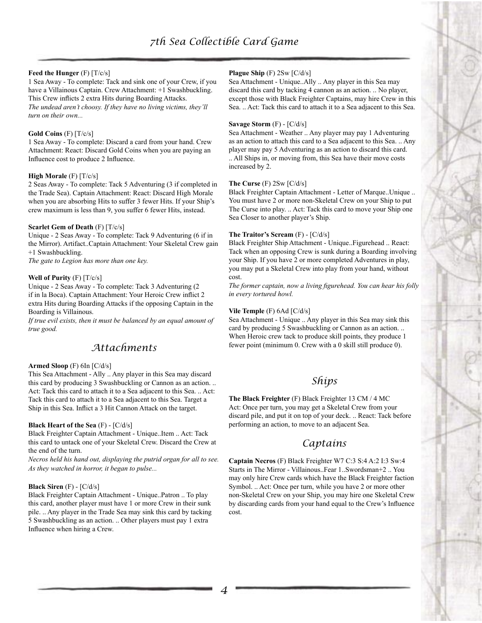### **Feed the Hunger** (F) [T/c/s]

1 Sea Away - To complete: Tack and sink one of your Crew, if you have a Villainous Captain. Crew Attachment: +1 Swashbuckling. This Crew inflicts 2 extra Hits during Boarding Attacks. *The undead aren't choosy. If they have no living victims, they'll turn on their own...*

### **Gold Coins** (F) [T/c/s]

1 Sea Away - To complete: Discard a card from your hand. Crew Attachment: React: Discard Gold Coins when you are paying an Influence cost to produce 2 Influence.

### **High Morale** (F) [T/c/s]

2 Seas Away - To complete: Tack 5 Adventuring (3 if completed in the Trade Sea). Captain Attachment: React: Discard High Morale when you are absorbing Hits to suffer 3 fewer Hits. If your Ship's crew maximum is less than 9, you suffer 6 fewer Hits, instead.

### **Scarlet Gem of Death** (F) [T/c/s]

Unique - 2 Seas Away - To complete: Tack 9 Adventuring (6 if in the Mirror). Artifact..Captain Attachment: Your Skeletal Crew gain +1 Swashbuckling.

*The gate to Legion has more than one key.*

### **Well of Purity** (F) [T/c/s]

Unique - 2 Seas Away - To complete: Tack 3 Adventuring (2 if in la Boca). Captain Attachment: Your Heroic Crew inflict 2 extra Hits during Boarding Attacks if the opposing Captain in the Boarding is Villainous.

*If true evil exists, then it must be balanced by an equal amount of true good.*

# *Attachments*

### **Armed Sloop** (F) 6In [C/d/s]

This Sea Attachment - Ally .. Any player in this Sea may discard this card by producing 3 Swashbuckling or Cannon as an action. .. Act: Tack this card to attach it to a Sea adjacent to this Sea. .. Act: Tack this card to attach it to a Sea adjacent to this Sea. Target a Ship in this Sea. Inflict a 3 Hit Cannon Attack on the target.

### **Black Heart of the Sea** (F) - [C/d/s]

Black Freighter Captain Attachment - Unique..Item .. Act: Tack this card to untack one of your Skeletal Crew. Discard the Crew at the end of the turn.

*Necros held his hand out, displaying the putrid organ for all to see. As they watched in horror, it began to pulse...*

### **Black Siren** (F) - [C/d/s]

Black Freighter Captain Attachment - Unique..Patron .. To play this card, another player must have 1 or more Crew in their sunk pile. .. Any player in the Trade Sea may sink this card by tacking 5 Swashbuckling as an action. .. Other players must pay 1 extra Influence when hiring a Crew.

### **Plague Ship** (F) 2Sw [C/d/s]

Sea Attachment - Unique..Ally .. Any player in this Sea may discard this card by tacking 4 cannon as an action. .. No player, except those with Black Freighter Captains, may hire Crew in this Sea. .. Act: Tack this card to attach it to a Sea adjacent to this Sea.

### **Savage Storm** (F) - [C/d/s]

Sea Attachment - Weather .. Any player may pay 1 Adventuring as an action to attach this card to a Sea adjacent to this Sea. .. Any player may pay 5 Adventuring as an action to discard this card. .. All Ships in, or moving from, this Sea have their move costs increased by 2.

### **The Curse** (F) 2Sw [C/d/s]

Black Freighter Captain Attachment - Letter of Marque..Unique .. You must have 2 or more non-Skeletal Crew on your Ship to put The Curse into play. .. Act: Tack this card to move your Ship one Sea Closer to another player's Ship.

### **The Traitor's Scream** (F) - [C/d/s]

Black Freighter Ship Attachment - Unique..Figurehead .. React: Tack when an opposing Crew is sunk during a Boarding involving your Ship. If you have 2 or more completed Adventures in play, you may put a Skeletal Crew into play from your hand, without cost.

*The former captain, now a living figurehead. You can hear his folly in every tortured howl.*

### **Vile Temple** (F) 6Ad [C/d/s]

Sea Attachment - Unique .. Any player in this Sea may sink this card by producing 5 Swashbuckling or Cannon as an action. .. When Heroic crew tack to produce skill points, they produce 1 fewer point (minimum 0. Crew with a 0 skill still produce 0).

# *Ships*

**The Black Freighter** (F) Black Freighter 13 CM / 4 MC Act: Once per turn, you may get a Skeletal Crew from your discard pile, and put it on top of your deck. .. React: Tack before performing an action, to move to an adjacent Sea.

## *Captains*

**Captain Necros** (F) Black Freighter W7 C:3 S:4 A:2 I:3 Sw:4 Starts in The Mirror - Villainous..Fear 1..Swordsman+2 .. You may only hire Crew cards which have the Black Freighter faction Symbol. .. Act: Once per turn, while you have 2 or more other non-Skeletal Crew on your Ship, you may hire one Skeletal Crew by discarding cards from your hand equal to the Crew's Influence cost.